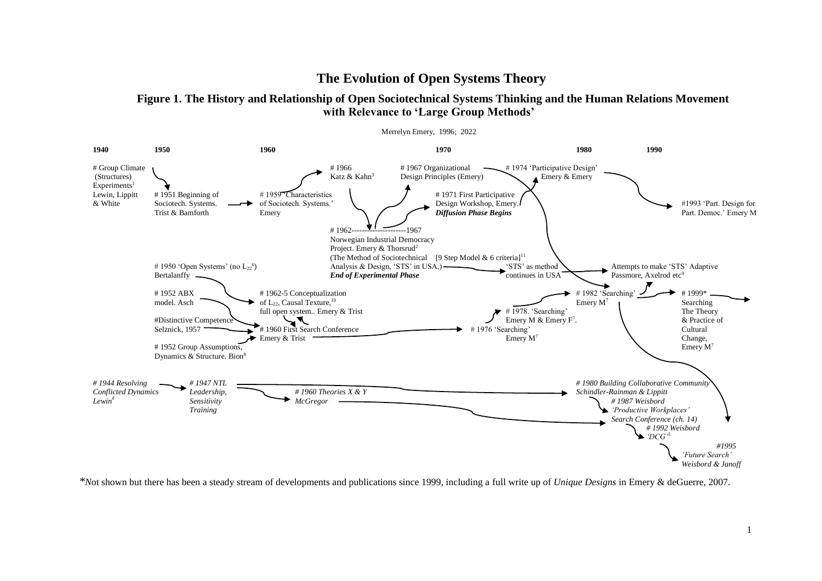# **The Evolution of Open Systems Theory**

**Figure 1. The History and Relationship of Open Sociotechnical Systems Thinking and the Human Relations Movement with Relevance to 'Large Group Methods'**



*\*N*ot shown but there has been a steady stream of developments and publications since 1999, including a full write up of *Unique Designs* in Emery & deGuerre, 2007.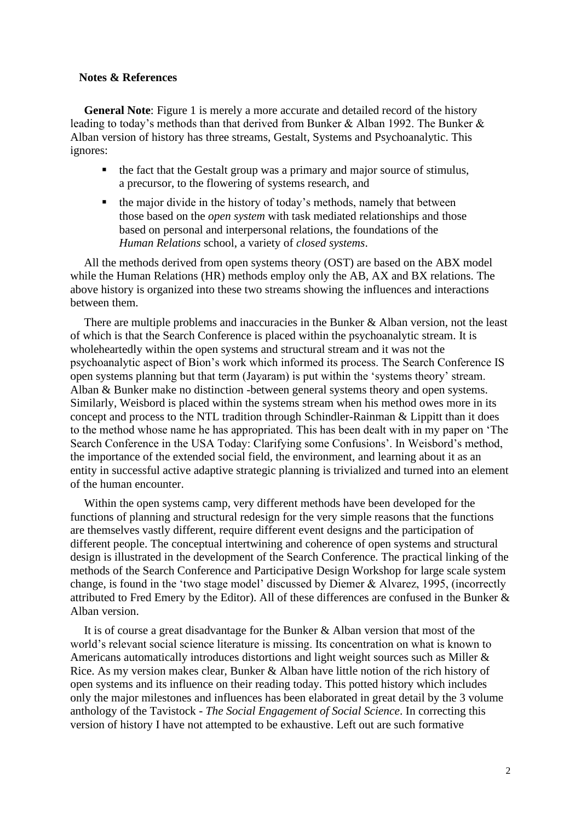# **Notes & References**

**General Note:** Figure 1 is merely a more accurate and detailed record of the history leading to today's methods than that derived from Bunker & Alban 1992. The Bunker & Alban version of history has three streams, Gestalt, Systems and Psychoanalytic. This ignores:

- the fact that the Gestalt group was a primary and major source of stimulus, a precursor, to the flowering of systems research, and
- the major divide in the history of today's methods, namely that between those based on the *open system* with task mediated relationships and those based on personal and interpersonal relations, the foundations of the *Human Relations* school, a variety of *closed systems*.

All the methods derived from open systems theory (OST) are based on the ABX model while the Human Relations (HR) methods employ only the AB, AX and BX relations. The above history is organized into these two streams showing the influences and interactions between them.

There are multiple problems and inaccuracies in the Bunker & Alban version, not the least of which is that the Search Conference is placed within the psychoanalytic stream. It is wholeheartedly within the open systems and structural stream and it was not the psychoanalytic aspect of Bion's work which informed its process. The Search Conference IS open systems planning but that term (Jayaram) is put within the 'systems theory' stream. Alban & Bunker make no distinction -between general systems theory and open systems. Similarly, Weisbord is placed within the systems stream when his method owes more in its concept and process to the NTL tradition through Schindler-Rainman & Lippitt than it does to the method whose name he has appropriated. This has been dealt with in my paper on 'The Search Conference in the USA Today: Clarifying some Confusions'. In Weisbord's method, the importance of the extended social field, the environment, and learning about it as an entity in successful active adaptive strategic planning is trivialized and turned into an element of the human encounter.

Within the open systems camp, very different methods have been developed for the functions of planning and structural redesign for the very simple reasons that the functions are themselves vastly different, require different event designs and the participation of different people. The conceptual intertwining and coherence of open systems and structural design is illustrated in the development of the Search Conference. The practical linking of the methods of the Search Conference and Participative Design Workshop for large scale system change, is found in the 'two stage model' discussed by Diemer & Alvarez, 1995, (incorrectly attributed to Fred Emery by the Editor). All of these differences are confused in the Bunker & Alban version.

It is of course a great disadvantage for the Bunker & Alban version that most of the world's relevant social science literature is missing. Its concentration on what is known to Americans automatically introduces distortions and light weight sources such as Miller & Rice. As my version makes clear, Bunker & Alban have little notion of the rich history of open systems and its influence on their reading today. This potted history which includes only the major milestones and influences has been elaborated in great detail by the 3 volume anthology of the Tavistock - *The Social Engagement of Social Science*. In correcting this version of history I have not attempted to be exhaustive. Left out are such formative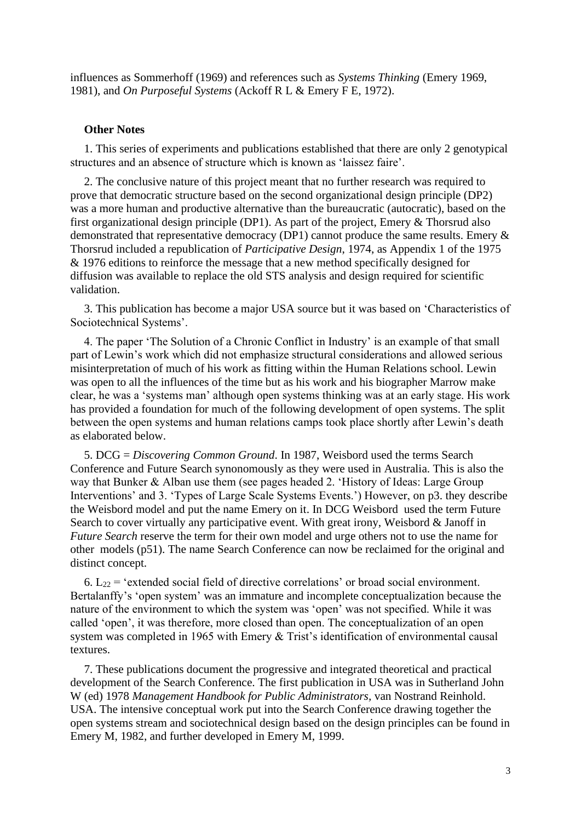influences as Sommerhoff (1969) and references such as *Systems Thinking* (Emery 1969, 1981), and *On Purposeful Systems* (Ackoff R L & Emery F E, 1972).

#### **Other Notes**

1. This series of experiments and publications established that there are only 2 genotypical structures and an absence of structure which is known as 'laissez faire'.

2. The conclusive nature of this project meant that no further research was required to prove that democratic structure based on the second organizational design principle (DP2) was a more human and productive alternative than the bureaucratic (autocratic), based on the first organizational design principle (DP1). As part of the project, Emery & Thorsrud also demonstrated that representative democracy (DP1) cannot produce the same results. Emery & Thorsrud included a republication of *Participative Design*, 1974, as Appendix 1 of the 1975 & 1976 editions to reinforce the message that a new method specifically designed for diffusion was available to replace the old STS analysis and design required for scientific validation.

3. This publication has become a major USA source but it was based on 'Characteristics of Sociotechnical Systems'.

4. The paper 'The Solution of a Chronic Conflict in Industry' is an example of that small part of Lewin's work which did not emphasize structural considerations and allowed serious misinterpretation of much of his work as fitting within the Human Relations school. Lewin was open to all the influences of the time but as his work and his biographer Marrow make clear, he was a 'systems man' although open systems thinking was at an early stage. His work has provided a foundation for much of the following development of open systems. The split between the open systems and human relations camps took place shortly after Lewin's death as elaborated below.

5. DCG = *Discovering Common Ground*. In 1987, Weisbord used the terms Search Conference and Future Search synonomously as they were used in Australia. This is also the way that Bunker & Alban use them (see pages headed 2. 'History of Ideas: Large Group Interventions' and 3. 'Types of Large Scale Systems Events.') However, on p3. they describe the Weisbord model and put the name Emery on it. In DCG Weisbord used the term Future Search to cover virtually any participative event. With great irony, Weisbord & Janoff in *Future Search* reserve the term for their own model and urge others not to use the name for other models (p51). The name Search Conference can now be reclaimed for the original and distinct concept.

6.  $L_{22}$  = 'extended social field of directive correlations' or broad social environment. Bertalanffy's 'open system' was an immature and incomplete conceptualization because the nature of the environment to which the system was 'open' was not specified. While it was called 'open', it was therefore, more closed than open. The conceptualization of an open system was completed in 1965 with Emery & Trist's identification of environmental causal textures.

7. These publications document the progressive and integrated theoretical and practical development of the Search Conference. The first publication in USA was in Sutherland John W (ed) 1978 *Management Handbook for Public Administrators,* van Nostrand Reinhold. USA. The intensive conceptual work put into the Search Conference drawing together the open systems stream and sociotechnical design based on the design principles can be found in Emery M, 1982, and further developed in Emery M, 1999.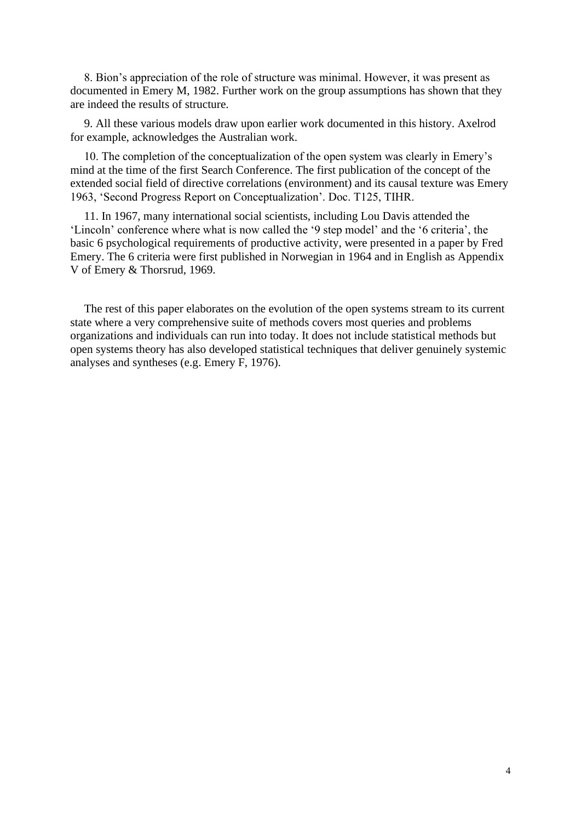8. Bion's appreciation of the role of structure was minimal. However, it was present as documented in Emery M, 1982. Further work on the group assumptions has shown that they are indeed the results of structure.

9. All these various models draw upon earlier work documented in this history. Axelrod for example, acknowledges the Australian work.

10. The completion of the conceptualization of the open system was clearly in Emery's mind at the time of the first Search Conference. The first publication of the concept of the extended social field of directive correlations (environment) and its causal texture was Emery 1963, 'Second Progress Report on Conceptualization'. Doc. T125, TIHR.

11. In 1967, many international social scientists, including Lou Davis attended the 'Lincoln' conference where what is now called the '9 step model' and the '6 criteria', the basic 6 psychological requirements of productive activity, were presented in a paper by Fred Emery. The 6 criteria were first published in Norwegian in 1964 and in English as Appendix V of Emery & Thorsrud, 1969.

The rest of this paper elaborates on the evolution of the open systems stream to its current state where a very comprehensive suite of methods covers most queries and problems organizations and individuals can run into today. It does not include statistical methods but open systems theory has also developed statistical techniques that deliver genuinely systemic analyses and syntheses (e.g. Emery F, 1976).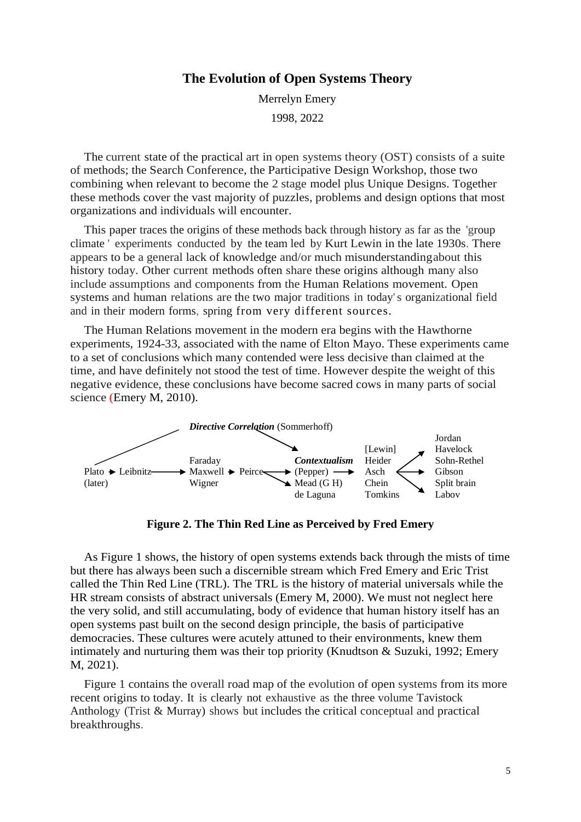# **The Evolution of Open Systems Theory**

Merrelyn Emery 1998, 2022

The current state of the practical art in open systems theory (OST) consists of a suite of methods; the Search Conference, the Participative Design Workshop, those two combining when relevant to become the 2 stage model plus Unique Designs. Together these methods cover the vast majority of puzzles, problems and design options that most organizations and individuals will encounter.

This paper traces the origins of these methods back through history as far as the 'group climate ' experiments conducted by the team led by Kurt Lewin in the late 1930s. There appears to be a general lack of knowledge and/or much misunderstandingabout this history today. Other current methods often share these origins although many also include assumptions and components from the Human Relations movement. Open systems and human relations are the two major traditions in today's organizational field and in their modern forms, spring from very different sources.

The Human Relations movement in the modern era begins with the Hawthorne experiments, 1924-33, associated with the name of Elton Mayo. These experiments came to a set of conclusions which many contended were less decisive than claimed at the time, and have definitely not stood the test of time. However despite the weight of this negative evidence, these conclusions have become sacred cows in many parts of social science (Emery M, 2010).



**Figure 2. The Thin Red Line as Perceived by Fred Emery**

As Figure 1 shows, the history of open systems extends back through the mists of time but there has always been such a discernible stream which Fred Emery and Eric Trist called the Thin Red Line (TRL). The TRL is the history of material universals while the HR stream consists of abstract universals (Emery M, 2000). We must not neglect here the very solid, and still accumulating, body of evidence that human history itself has an open systems past built on the second design principle, the basis of participative democracies. These cultures were acutely attuned to their environments, knew them intimately and nurturing them was their top priority (Knudtson & Suzuki, 1992; Emery M, 2021).

Figure 1 contains the overall road map of the evolution of open systems from its more recent origins to today. It is clearly not exhaustive as the three volume Tavistock Anthology (Trist & Murray) shows but includes the critical conceptual and practical breakthroughs.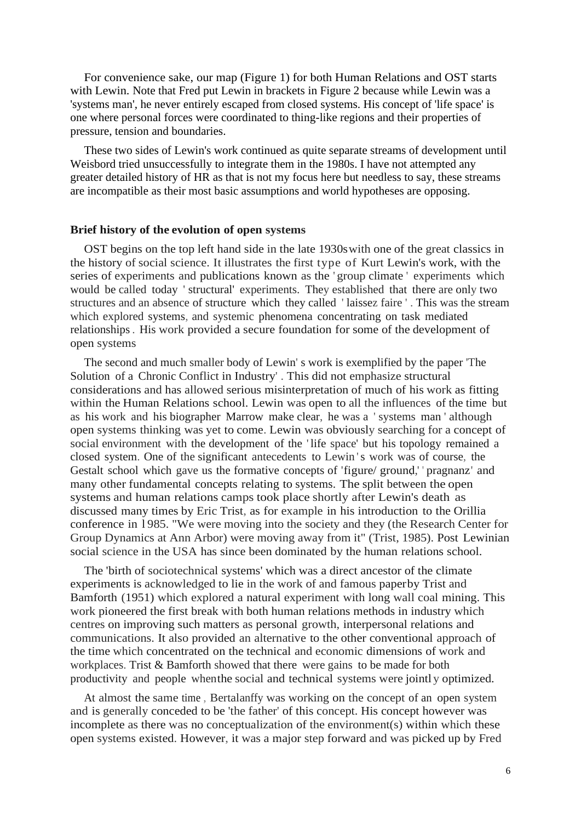For convenience sake, our map (Figure 1) for both Human Relations and OST starts with Lewin. Note that Fred put Lewin in brackets in Figure 2 because while Lewin was a 'systems man', he never entirely escaped from closed systems. His concept of 'life space' is one where personal forces were coordinated to thing-like regions and their properties of pressure, tension and boundaries.

These two sides of Lewin's work continued as quite separate streams of development until Weisbord tried unsuccessfully to integrate them in the 1980s. I have not attempted any greater detailed history of HR as that is not my focus here but needless to say, these streams are incompatible as their most basic assumptions and world hypotheses are opposing.

#### **Brief history of the evolution of open systems**

OST begins on the top left hand side in the late 1930swith one of the great classics in the history of social science. It illustrates the first type of Kurt Lewin's work, with the series of experiments and publications known as the ' group climate ' experiments which would be called today ' structural' experiments. They established that there are only two structures and an absence of structure which they called ' laissez faire ' . This was the stream which explored systems, and systemic phenomena concentrating on task mediated relationships. His work provided a secure foundation for some of the development of open systems

The second and much smaller body of Lewin' s work is exemplified by the paper 'The Solution of a Chronic Conflict in Industry' . This did not emphasize structural considerations and has allowed serious misinterpretation of much of his work as fitting within the Human Relations school. Lewin was open to all the influences of the time but as his work and his biographer Marrow make clear, he was a ' systems man ' although open systems thinking was yet to come. Lewin was obviously searching for a concept of social environment with the development of the ' life space' but his topology remained a closed system. One of the significant antecedents to Lewin 's work was of course, the Gestalt school which gave us the formative concepts of 'figure/ ground,' 'pragnanz' and many other fundamental concepts relating to systems. The split between the open systems and human relations camps took place shortly after Lewin's death as discussed many times by Eric Trist, as for example in his introduction to the Orillia conference in l 985. "We were moving into the society and they (the Research Center for Group Dynamics at Ann Arbor) were moving away from it" (Trist, 1985). Post Lewinian social science in the USA has since been dominated by the human relations school.

The 'birth of sociotechnical systems' which was a direct ancestor of the climate experiments is acknowledged to lie in the work of and famous paperby Trist and Bamforth (1951) which explored a natural experiment with long wall coal mining. This work pioneered the first break with both human relations methods in industry which centres on improving such matters as personal growth, interpersonal relations and communications. It also provided an alternative to the other conventional approach of the time which concentrated on the technical and economic dimensions of work and workplaces. Trist & Bamforth showed that there were gains to be made for both productivity and people whenthe social and technical systems were jointly optimized.

At almost the same time , Bertalanffy was working on the concept of an open system and is generally conceded to be 'the father' of this concept. His concept however was incomplete as there was no conceptualization of the environment(s) within which these open systems existed. However, it was a major step forward and was picked up by Fred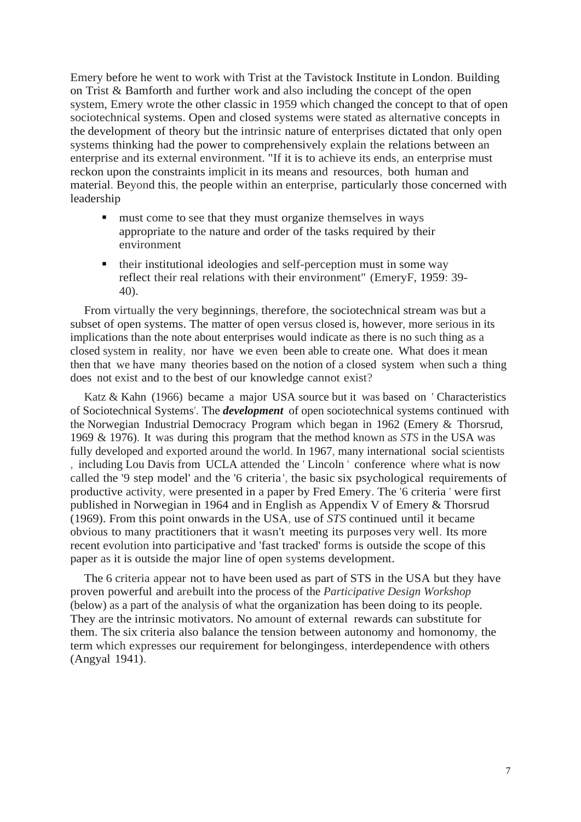Emery before he went to work with Trist at the Tavistock Institute in London. Building on Trist & Bamforth and further work and also including the concept of the open system, Emery wrote the other classic in 1959 which changed the concept to that of open sociotechnical systems. Open and closed systems were stated as alternative concepts in the development of theory but the intrinsic nature of enterprises dictated that only open systems thinking had the power to comprehensively explain the relations between an enterprise and its external environment. "If it is to achieve its ends, an enterprise must reckon upon the constraints implicit in its means and resources, both human and material. Beyond this, the people within an enterprise, particularly those concerned with leadership

- must come to see that they must organize themselves in ways appropriate to the nature and order of the tasks required by their environment
- their institutional ideologies and self-perception must in some way reflect their real relations with their environment" (EmeryF, 1959: 39- 40).

From virtually the very beginnings, therefore, the sociotechnical stream was but a subset of open systems. The matter of open versus closed is, however, more serious in its implications than the note about enterprises would indicate as there is no such thing as a closed system in reality, nor have we even been able to create one. What does it mean then that we have many theories based on the notion of a closed system when such a thing does not exist and to the best of our knowledge cannot exist?

Katz & Kahn (1966) became a major USA source but it was based on ' Characteristics of Sociotechnical Systems'. The *development* of open sociotechnical systems continued with the Norwegian Industrial Democracy Program which began in 1962 (Emery & Thorsrud, 1969 & 1976). It was during this program that the method known as *STS* in the USA was fully developed and exported around the world. In 1967, many international social scientists , including Lou Davis from UCLA attended the ' Lincoln ' conference where what is now called the '9 step model' and the '6 criteria ', the basic six psychological requirements of productive activity, were presented in a paper by Fred Emery. The '6 criteria ' were first published in Norwegian in 1964 and in English as Appendix V of Emery & Thorsrud (1969). From this point onwards in the USA, use of *STS* continued until it became obvious to many practitioners that it wasn't meeting its purp\_oses very well. Its more recent evolution into participative and 'fast tracked' forms is outside the scope of this paper as it is outside the major line of open systems development.

The 6 criteria appear not to have been used as part of STS in the USA but they have proven powerful and arebuilt into the process of the *Participative Design Workshop* (below) as a part of the analysis of what the organization has been doing to its people. They are the intrinsic motivators. No amount of external rewards can substitute for them. The six criteria also balance the tension between autonomy and homonomy, the term which expresses our requirement for belongingess, interdependence with others (Angyal 1941).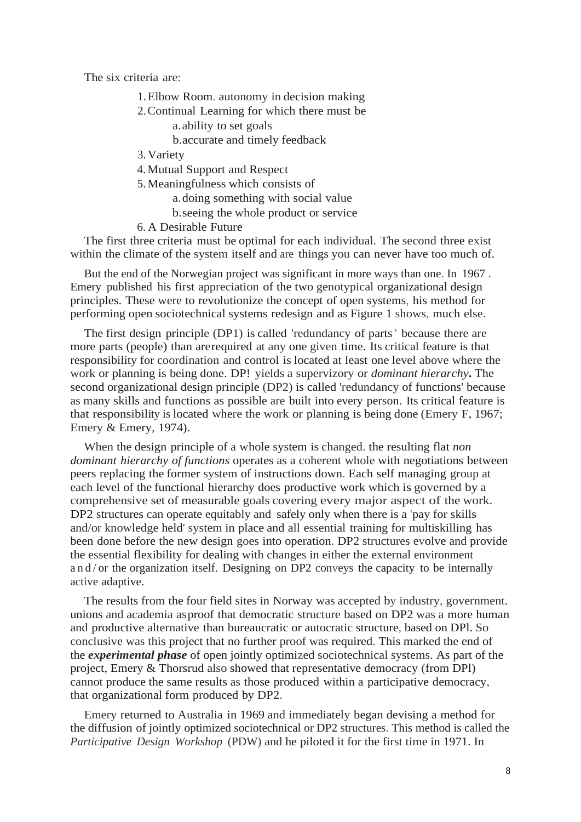The six criteria are:

- 1.Elbow Room. autonomy in decision making
- 2.Continual Learning for which there must be a.ability to set goals
	- b.accurate and timely feedback
- 3.Variety

4.Mutual Support and Respect

5.Meaningfulness which consists of

a.doing something with social value

- b.seeing the whole product or service
- 6. A Desirable Future

The first three criteria must be optimal for each individual. The second three exist within the climate of the system itself and are things you can never have too much of.

But the end of the Norwegian project was significant in more ways than one. In 1967 . Emery published his first appreciation of the two genotypical organizational design principles. These were to revolutionize the concept of open systems, his method for performing open sociotechnical systems redesign and as Figure 1 shows, much else.

The first design principle (DP1) is called 'redundancy of parts' because there are more parts (people) than arerequired at any one given time. Its critical feature is that responsibility for coordination and control is located at least one level above where the work or planning is being done. DP! yields a supervizory or *dominant hierarchy***.** The second organizational design principle (DP2) is called 'redundancy of functions' because as many skills and functions as possible are built into every person. Its critical feature is that responsibility is located where the work or planning is being done (Emery F, 1967; Emery & Emery, 1974).

When the design principle of a whole system is changed. the resulting flat *non dominant hierarchy of functions* operates as a coherent whole with negotiations between peers replacing the former system of instructions down. Each self managing group at each level of the functional hierarchy does productive work which is governed by a comprehensive set of measurable goals covering every major aspect of the work. DP2 structures can operate equitably and safely only when there is a 'pay for skills and/or knowledge held' system in place and all essential training for multiskilling has been done before the new design goes into operation. DP2 structures evolve and provide the essential flexibility for dealing with changes in either the external environment and/or the organization itself. Designing on DP2 conveys the capacity to be internally active adaptive.

The results from the four field sites in Norway was accepted by industry, government. unions and academia asproof that democratic structure based on DP2 was a more human and productive alternative than bureaucratic or autocratic structure, based on DPl. So conclusive was this project that no further proof was required. This marked the end of the *experimental phase* of open jointly optimized sociotechnical systems. As part of the project, Emery & Thorsrud also showed that representative democracy (from DPl) cannot produce the same results as those produced within a participative democracy, that organizational form produced by DP2.

Emery returned to Australia in 1969 and immediately began devising a method for the diffusion of jointly optimized sociotechnical or DP2 structures. This method is called the *Participative Design Workshop* (PDW) and he piloted it for the first time in 1971. In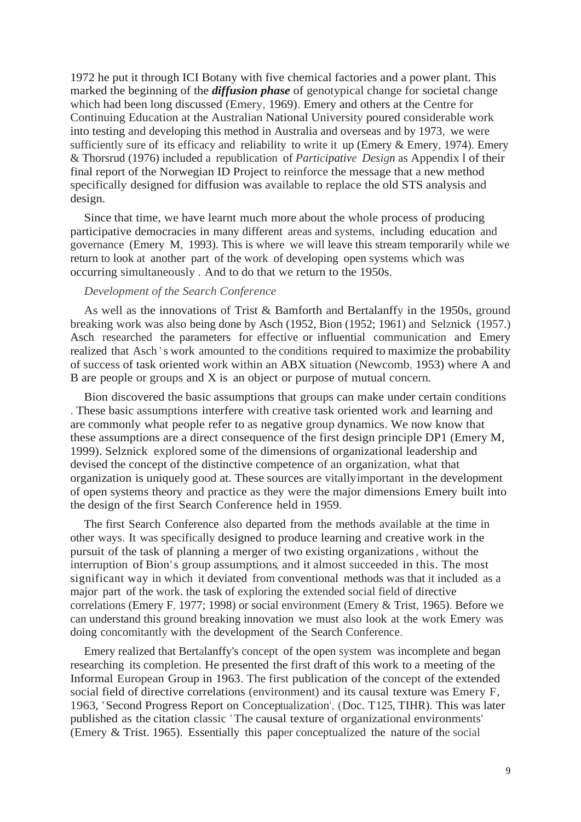1972 he put it through ICI Botany with five chemical factories and a power plant. This marked the beginning of the *diffusion phase* of genotypical change for societal change which had been long discussed (Emery, 1969). Emery and others at the Centre for Continuing Education at the Australian National University poured considerable work into testing and developing this method in Australia and overseas and by 1973, we were sufficiently sure of its efficacy and reliability to write it up (Emery & Emery, 1974). Emery & Thorsrud (1976) included a republication of *Participative Design* as Appendix l of their final report of the Norwegian ID Project to reinforce the message that a new method specifically designed for diffusion was available to replace the old STS analysis and design.

Since that time, we have learnt much more about the whole process of producing participative democracies in many different areas and systems, including education and governance (Emery M, 1993). This is where we will leave this stream temporarily while we return to look at another part of the work of developing open systems which was occurring simultaneously . And to do that we return to the 1950s.

# *Development of the Search Conference*

As well as the innovations of Trist & Bamforth and Bertalanffy in the 1950s, ground breaking work was also being done by Asch (1952, Bion (1952; 1961) and Selznick (1957.) Asch researched the parameters for effective or influential communication and Emery realized that Asch 's work amounted to the conditions required to maximize the probability of success of task oriented work within an ABX situation (Newcomb, 1953) where A and B are people or groups and X is an object or purpose of mutual concern.

Bion discovered the basic assumptions that groups can make under certain conditions . These basic assumptions interfere with creative task oriented work and learning and are commonly what people refer to as negative group dynamics. We now know that these assumptions are a direct consequence of the first design principle DP1 (Emery M, 1999). Selznick explored some of the dimensions of organizational leadership and devised the concept of the distinctive competence of an organization, what that organization is uniquely good at. These sources are vitallyimportant in the development of open systems theory and practice as they were the major dimensions Emery built into the design of the first Search Conference held in 1959.

The first Search Conference also departed from the methods available at the time in other ways. It was specifically designed to produce learning and creative work in the pursuit of the task of planning a merger of two existing organizations, without the interruption of Bion's group assumptions, and it almost succeeded in this. The most significant way in which it deviated from conventional methods was that it included as a major part of the work. the task of exploring the extended social field of directive correlations (Emery F, 1977; 1998) or social environment (Emery & Trist, 1965). Before we can understand this ground breaking innovation we must also look at the work Emery was doing concomitantly with the development of the Search Conference.

Emery realized that Bertalanffy's concept of the open system was incomplete and began researching its completion. He presented the first draft of this work to a meeting of the Informal European Group in 1963. The first publication of the concept of the extended social field of directive correlations (environment) and its causal texture was Emery F, 1963, 'Second Progress Report on Conceptualization', (Doc. T125, TIHR). This was later published as the citation classic 'The causal texture of organizational environments' (Emery & Trist. 1965). Essentially this paper conceptualized the nature of the social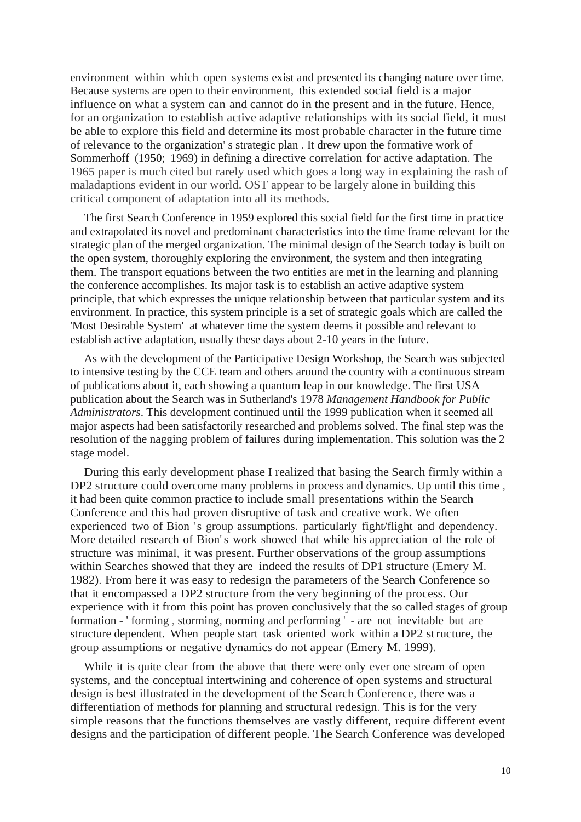environment within which open systems exist and presented its changing nature over time. Because systems are open to their environment, this extended social field is a major influence on what a system can and cannot do in the present and in the future. Hence, for an organization to establish active adaptive relationships with its social field, it must be able to explore this field and determine its most probable character in the future time of relevance to the organization' s strategic plan . It drew upon the formative work of Sommerhoff (1950; 1969) in defining a directive correlation for active adaptation. The 1965 paper is much cited but rarely used which goes a long way in explaining the rash of maladaptions evident in our world. OST appear to be largely alone in building this critical component of adaptation into all its methods.

The first Search Conference in 1959 explored this social field for the first time in practice and extrapolated its novel and predominant characteristics into the time frame relevant for the strategic plan of the merged organization. The minimal design of the Search today is built on the open system, thoroughly exploring the environment, the system and then integrating them. The transport equations between the two entities are met in the learning and planning the conference accomplishes. Its major task is to establish an active adaptive system principle, that which expresses the unique relationship between that particular system and its environment. In practice, this system principle is a set of strategic goals which are called the 'Most Desirable System' at whatever time the system deems it possible and relevant to establish active adaptation, usually these days about 2-10 years in the future.

As with the development of the Participative Design Workshop, the Search was subjected to intensive testing by the CCE team and others around the country with a continuous stream of publications about it, each showing a quantum leap in our knowledge. The first USA publication about the Search was in Sutherland's 1978 *Management Handbook for Public Administrators*. This development continued until the 1999 publication when it seemed all major aspects had been satisfactorily researched and problems solved. The final step was the resolution of the nagging problem of failures during implementation. This solution was the 2 stage model.

During this early development phase I realized that basing the Search firmly within a DP2 structure could overcome many problems in process and dynamics. Up until this time, it had been quite common practice to include small presentations within the Search Conference and this had proven disruptive of task and creative work. We often experienced two of Bion 's group assumptions. particularly fight/flight and dependency. More detailed research of Bion's work showed that while his appreciation of the role of structure was minimal, it was present. Further observations of the group assumptions within Searches showed that they are indeed the results of DP1 structure (Emery M. 1982). From here it was easy to redesign the parameters of the Search Conference so that it encompassed a DP2 structure from the very beginning of the process. Our experience with it from this point has proven conclusively that the so called stages of group formation - ' forming , storming, norming and performing ' - are not inevitable but are structure dependent. When people start task oriented work within a DP2 structure, the group assumptions or negative dynamics do not appear (Emery M. 1999).

While it is quite clear from the above that there were only ever one stream of open systems, and the conceptual intertwining and coherence of open systems and structural design is best illustrated in the development of the Search Conference, there was a differentiation of methods for planning and structural redesign. This is for the very simple reasons that the functions themselves are vastly different, require different event designs and the participation of different people. The Search Conference was developed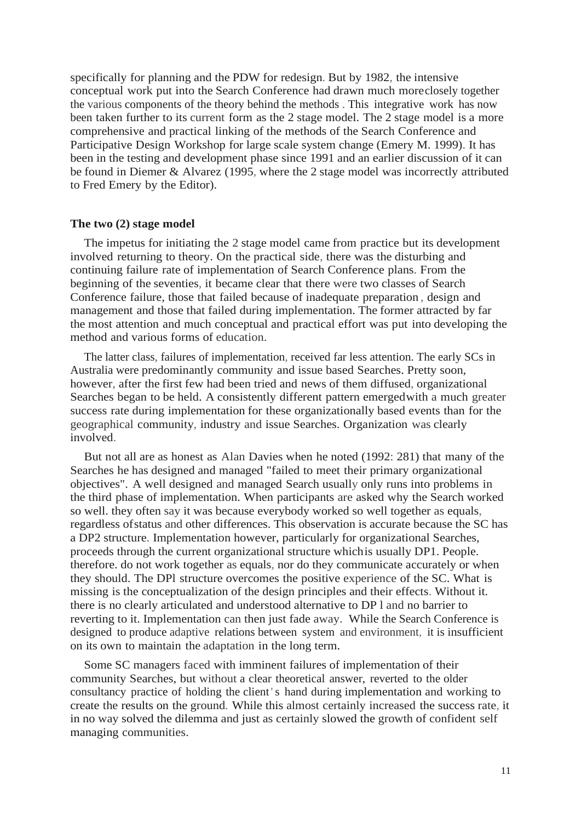specifically for planning and the PDW for redesign. But by 1982, the intensive conceptual work put into the Search Conference had drawn much moreclosely together the various components of the theory behind the methods . This integrative work has now been taken further to its current form as the 2 stage model. The 2 stage model is a more comprehensive and practical linking of the methods of the Search Conference and Participative Design Workshop for large scale system change (Emery M. 1999). It has been in the testing and development phase since 1991 and an earlier discussion of it can be found in Diemer & Alvarez (1995, where the 2 stage model was incorrectly attributed to Fred Emery by the Editor).

#### **The two (2) stage model**

The impetus for initiating the 2 stage model came from practice but its development involved returning to theory. On the practical side, there was the disturbing and continuing failure rate of implementation of Search Conference plans. From the beginning of the seventies, it became clear that there were two classes of Search Conference failure, those that failed because of inadequate preparation , design and management and those that failed during implementation. The former attracted by far the most attention and much conceptual and practical effort was put into developing the method and various forms of education.

The latter class, failures of implementation, received far less attention. The early SCs in Australia were predominantly community and issue based Searches. Pretty soon, however, after the first few had been tried and news of them diffused, organizational Searches began to be held. A consistently different pattern emergedwith a much greater success rate during implementation for these organizationally based events than for the geographical community, industry and issue Searches. Organization was clearly involved.

But not all are as honest as Alan Davies when he noted (1992: 281) that many of the Searches he has designed and managed "failed to meet their primary organizational objectives". A well designed and managed Search usually only runs into problems in the third phase of implementation. When participants are asked why the Search worked so well. they often say it was because everybody worked so well together as equals, regardless ofstatus and other differences. This observation is accurate because the SC has a DP2 structure. Implementation however, particularly for organizational Searches, proceeds through the current organizational structure whichis usually DP1. People. therefore. do not work together as equals, nor do they communicate accurately or when they should. The DPl structure overcomes the positive experience of the SC. What is missing is the conceptualization of the design principles and their effects. Without it. there is no clearly articulated and understood alternative to DP l and no barrier to reverting to it. Implementation can then just fade away. While the Search Conference is designed to produce adaptive relations between system and environment, it is insufficient on its own to maintain the adaptation in the long term.

Some SC managers faced with imminent failures of implementation of their community Searches, but without a clear theoretical answer, reverted to the older consultancy practice of holding the client 's hand during implementation and working to create the results on the ground. While this almost certainly increased the success rate, it in no way solved the dilemma and just as certainly slowed the growth of confident self managing communities.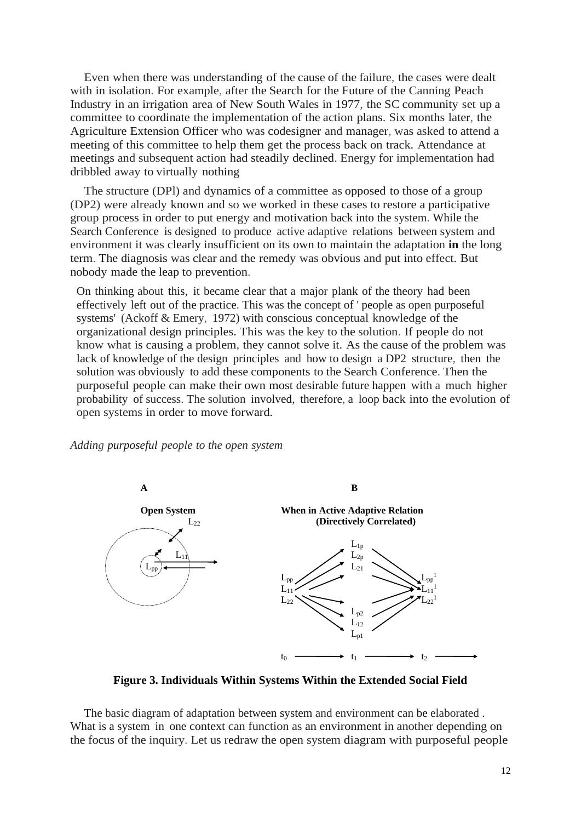Even when there was understanding of the cause of the failure, the cases were dealt with in isolation. For example, after the Search for the Future of the Canning Peach Industry in an irrigation area of New South Wales in 1977, the SC community set up a committee to coordinate the implementation of the action plans. Six months later, the Agriculture Extension Officer who was codesigner and manager, was asked to attend a meeting of this committee to help them get the process back on track. Attendance at meetings and subsequent action had steadily declined. Energy for implementation had dribbled away to virtually nothing

The structure (DPl) and dynamics of a committee as opposed to those of a group (DP2) were already known and so we worked in these cases to restore a participative group process in order to put energy and motivation back into the system. While the Search Conference is designed to produce active adaptive relations between system and environment it was clearly insufficient on its own to maintain the adaptation **in** the long term. The diagnosis was clear and the remedy was obvious and put into effect. But nobody made the leap to prevention.

On thinking about this, it became clear that a major plank of the theory had been effectively left out of the practice. This was the concept of ' people as open purposeful systems' (Ackoff & Emery, 1972) with conscious conceptual knowledge of the organizational design principles. This was the key to the solution. If people do not know what is causing a problem, they cannot solve it. As the cause of the problem was lack of knowledge of the design principles and how to design a DP2 structure, then the solution was obviously to add these components to the Search Conference. Then the purposeful people can make their own most desirable future happen with a much higher probability of success. The solution involved, therefore, a loop back into the evolution of open systems in order to move forward.

*Adding purposeful people to the open system*



**Figure 3. Individuals Within Systems Within the Extended Social Field**

The basic diagram of adaptation between system and environment can be elaborated . What is a system in one context can function as an environment in another depending on the focus of the inquiry. Let us redraw the open system diagram with purposeful people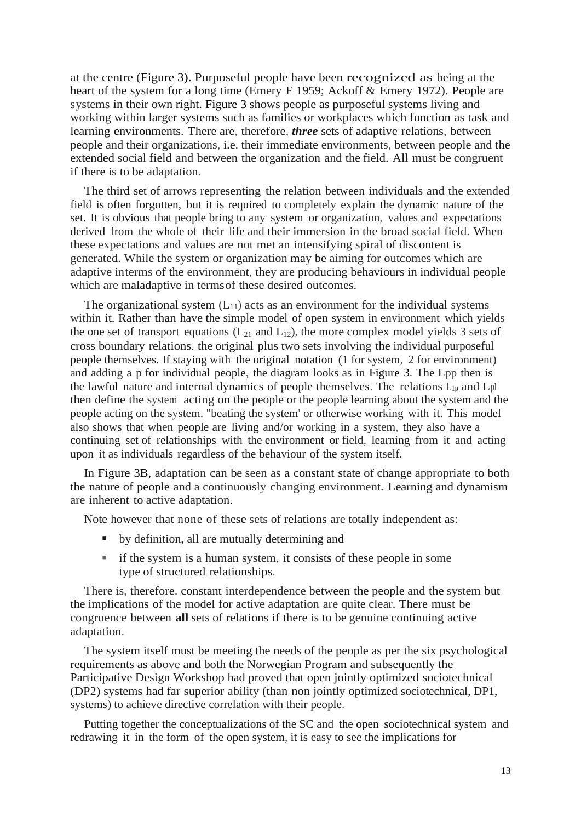at the centre (Figure 3). Purposeful people have been recognized as being at the heart of the system for a long time (Emery F 1959; Ackoff & Emery 1972). People are systems in their own right. Figure 3 shows people as purposeful systems living and working within larger systems such as families or workplaces which function as task and learning environments. There are, therefore, *three* sets of adaptive relations, between people and their organizations, i.e. their immediate environments, between people and the extended social field and between the organization and the field. All must be congruent if there is to be adaptation.

The third set of arrows representing the relation between individuals and the extended field is often forgotten, but it is required to completely explain the dynamic nature of the set. It is obvious that people bring to any system or organization, values and expectations derived from the whole of their life and their immersion in the broad social field. When these expectations and values are not met an intensifying spiral of discontent is generated. While the system or organization may be aiming for outcomes which are adaptive interms of the environment, they are producing behaviours in individual people which are maladaptive in termsof these desired outcomes.

The organizational system  $(L_{11})$  acts as an environment for the individual systems within it. Rather than have the simple model of open system in environment which yields the one set of transport equations  $(L_{21}$  and  $L_{12})$ , the more complex model yields 3 sets of cross boundary relations. the original plus two sets involving the individual purposeful people themselves. If staying with the original notation (1 for system, 2 for environment) and adding a p for individual people, the diagram looks as in Figure 3. The Lpp then is the lawful nature and internal dynamics of people themselves. The relations  $L_{1p}$  and  $L_{p}$ then define the system acting on the people or the people learning about the system and the people acting on the system. "beating the system' or otherwise working with it. This model also shows that when people are living and/or working in a system, they also have a continuing set of relationships with the environment or field, learning from it and acting upon it as individuals regardless of the behaviour of the system itself.

In Figure 3B, adaptation can be seen as a constant state of change appropriate to both the nature of people and a continuously changing environment. Learning and dynamism are inherent to active adaptation.

Note however that none of these sets of relations are totally independent as:

- by definition, all are mutually determining and
- if the system is a human system, it consists of these people in some type of structured relationships.

There is, therefore. constant interdependence between the people and the system but the implications of the model for active adaptation are quite clear. There must be congruence between **all** sets of relations if there is to be genuine continuing active adaptation.

The system itself must be meeting the needs of the people as per the six psychological requirements as above and both the Norwegian Program and subsequently the Participative Design Workshop had proved that open jointly optimized sociotechnical (DP2) systems had far superior ability (than non jointly optimized sociotechnical, DP1, systems) to achieve directive correlation with their people.

Putting together the conceptualizations of the SC and the open sociotechnical system and redrawing it in the form of the open system, it is easy to see the implications for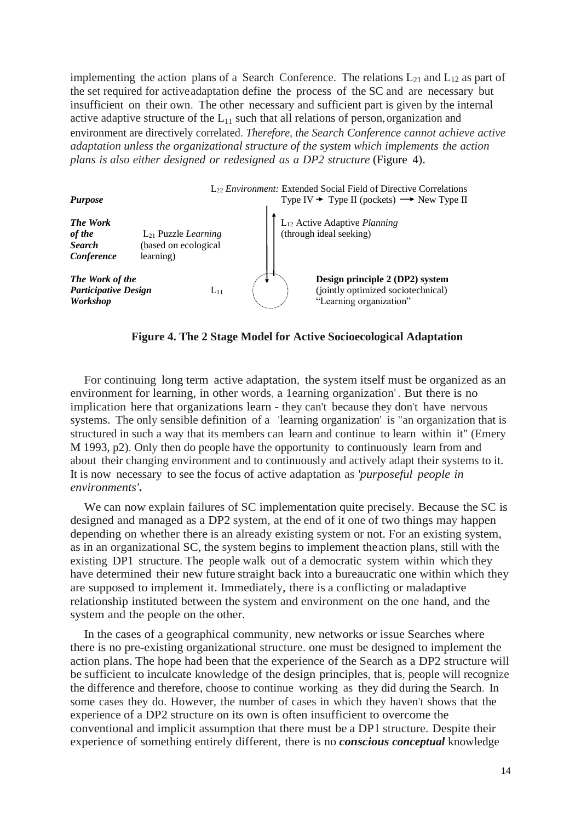implementing the action plans of a Search Conference. The relations  $L_{21}$  and  $L_{12}$  as part of the set required for activeadaptation define the process of the SC and are necessary but insufficient on their own. The other necessary and sufficient part is given by the internal active adaptive structure of the  $L_{11}$  such that all relations of person, organization and environment are directively correlated. *Therefore, the Search Conference cannot achieve active adaptation unless the organizational structure of the system which implements the action plans is also either designed or redesigned as a DP2 structure* (Figure 4).



**Figure 4. The 2 Stage Model for Active Socioecological Adaptation**

For continuing long term active adaptation, the system itself must be organized as an environment for learning, in other words, a 1earning organization' . But there is no implication here that organizations learn - they can't because they don't have nervous systems. The only sensible definition of a 'learning organization' is "an organization that is structured in such a way that its members can learn and continue to learn within it" (Emery M 1993, p2). Only then do people have the opportunity to continuously learn from and about their changing environment and to continuously and actively adapt their systems to it. It is now necessary to see the focus of active adaptation as *'purposeful people in environments'***.**

We can now explain failures of SC implementation quite precisely. Because the SC is designed and managed as a DP2 system, at the end of it one of two things may happen depending on whether there is an already existing system or not. For an existing system, as in an organizational SC, the system begins to implement theaction plans, still with the existing DP1 structure. The people walk out of a democratic system within which they have determined their new future straight back into a bureaucratic one within which they are supposed to implement it. Immediately, there is a conflicting or maladaptive relationship instituted between the system and environment on the one hand, and the system and the people on the other.

In the cases of a geographical community, new networks or issue Searches where there is no pre-existing organizational structure. one must be designed to implement the action plans. The hope had been that the experience of the Search as a DP2 structure will be sufficient to inculcate knowledge of the design principles, that is, people will recognize the difference and therefore, choose to continue working as they did during the Search. In some cases they do. However, the number of cases in which they haven't shows that the experience of a DP2 structure on its own is often insufficient to overcome the conventional and implicit assumption that there must be a DP l structure. Despite their experience of something entirely different, there is no *conscious conceptual* knowledge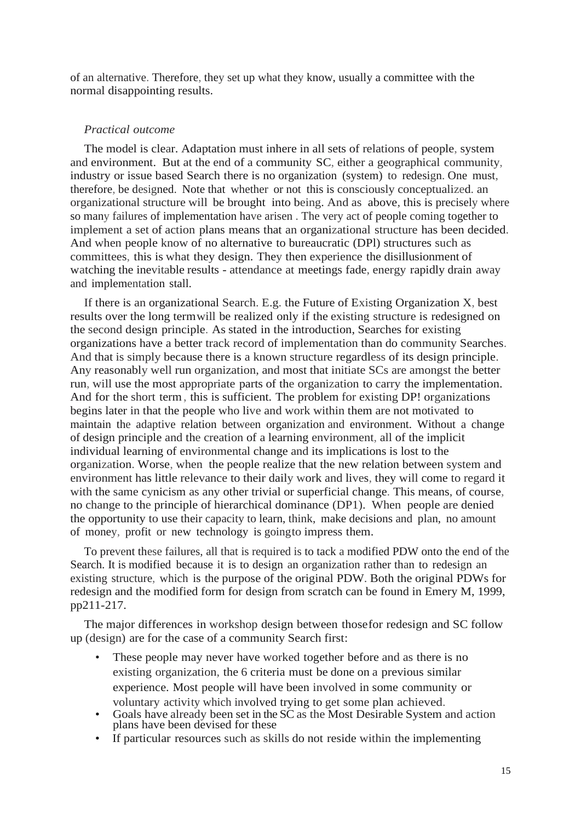of an alternative. Therefore, they set up what they know, usually a committee with the normal disappointing results.

# *Practical outcome*

The model is clear. Adaptation must inhere in all sets of relations of people, system and environment. But at the end of a community SC, either a geographical community, industry or issue based Search there is no organization (system) to redesign. One must, therefore, be designed. Note that whether or not this is consciously conceptualized. an organizational structure will be brought into being. And as above, this is precisely where so many failures of implementation have arisen . The very act of people coming together to implement a set of action plans means that an organizational structure has been decided. And when people know of no alternative to bureaucratic (DPl) structures such as committees, this is what they design. They then experience the disillusionment of watching the inevitable results - attendance at meetings fade, energy rapidly drain away and implementation stall.

If there is an organizational Search. E.g. the Future of Existing Organization X, best results over the long termwill be realized only if the existing structure is redesigned on the second design principle. As stated in the introduction, Searches for existing organizations have a better track record of implementation than do community Searches. And that is simply because there is a known structure regardless of its design principle. Any reasonably well run organization, and most that initiate SCs are amongst the better run, will use the most appropriate parts of the organization to carry the implementation. And for the short term, this is sufficient. The problem for existing DP! organizations begins later in that the people who live and work within them are not motivated to maintain the adaptive relation between organization and environment. Without a change of design principle and the creation of a learning environment, all of the implicit individual learning of environmental change and its implications is lost to the organization. Worse, when the people realize that the new relation between system and environment has little relevance to their daily work and lives, they will come to regard it with the same cynicism as any other trivial or superficial change. This means, of course, no change to the principle of hierarchical dominance (DP1). When people are denied the opportunity to use their capacity to learn, think, make decisions and plan, no amount of money, profit or new technology is goingto impress them.

To prevent these failures, all that is required is to tack a modified PDW onto the end of the Search. It is modified because it is to design an organization rather than to redesign an existing structure, which is the purpose of the original PDW. Both the original PDWs for redesign and the modified form for design from scratch can be found in Emery M, 1999, pp211-217.

The major differences in workshop design between thosefor redesign and SC follow up (design) are for the case of a community Search first:

- These people may never have worked together before and as there is no existing organization, the 6 criteria must be done on a previous similar experience. Most people will have been involved in some community or voluntary activity which involved trying to get some plan achieved.
- Goals have already been set in the SC as the Most Desirable System and action plans have been devised for these
- If particular resources such as skills do not reside within the implementing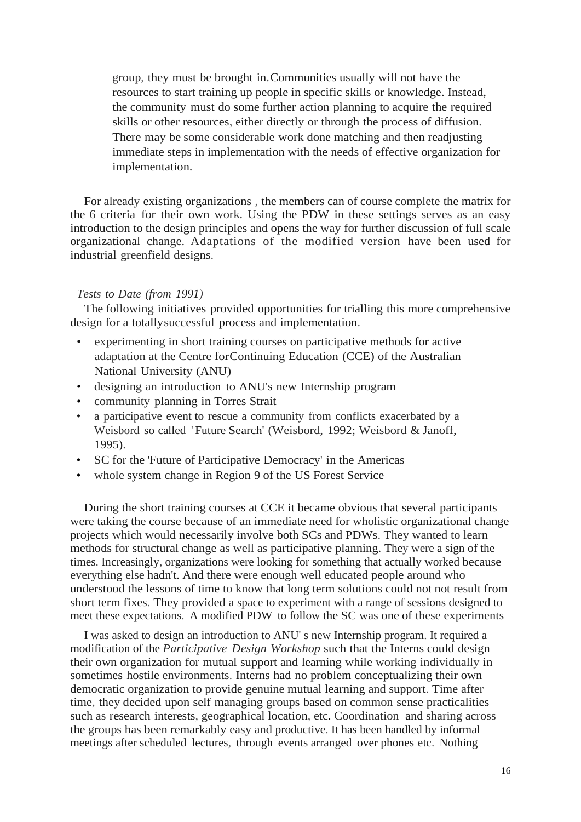group, they must be brought in.Communities usually will not have the resources to start training up people in specific skills or knowledge. Instead, the community must do some further action planning to acquire the required skills or other resources, either directly or through the process of diffusion. There may be some considerable work done matching and then readjusting immediate steps in implementation with the needs of effective organization for implementation.

For already existing organizations , the members can of course complete the matrix for the 6 criteria for their own work. Using the PDW in these settings serves as an easy introduction to the design principles and opens the way for further discussion of full scale organizational change. Adaptations of the modified version have been used for industrial greenfield designs.

# *Tests to Date (from 1991)*

The following initiatives provided opportunities for trialling this more comprehensive design for a totallysuccessful process and implementation.

- experimenting in short training courses on participative methods for active adaptation at the Centre forContinuing Education (CCE) of the Australian National University (ANU)
- designing an introduction to ANU's new Internship program
- community planning in Torres Strait
- a participative event to rescue a community from conflicts exacerbated by a Weisbord so called 'Future Search' (Weisbord, 1992; Weisbord & Janoff, 1995).
- SC for the 'Future of Participative Democracy' in the Americas
- whole system change in Region 9 of the US Forest Service

During the short training courses at CCE it became obvious that several participants were taking the course because of an immediate need for wholistic organizational change projects which would necessarily involve both SCs and PDWs. They wanted to learn methods for structural change as well as participative planning. They were a sign of the times. Increasingly, organizations were looking for something that actually worked because everything else hadn't. And there were enough well educated people around who understood the lessons of time to know that long term solutions could not not result from short term fixes. They provided a space to experiment with a range of sessions designed to meet these expectations. A modified PDW to follow the SC was one of these experiments

I was asked to design an introduction to ANU' s new Internship program. It required a modification of the *Participative Design Workshop* such that the Interns could design their own organization for mutual support and learning while working individually in sometimes hostile environments. Interns had no problem conceptualizing their own democratic organization to provide genuine mutual learning and support. Time after time, they decided upon self managing groups based on common sense practicalities such as research interests, geographical location, etc. Coordination and sharing across the groups has been remarkably easy and productive. It has been handled by informal meetings after scheduled lectures, through events arranged over phones etc. Nothing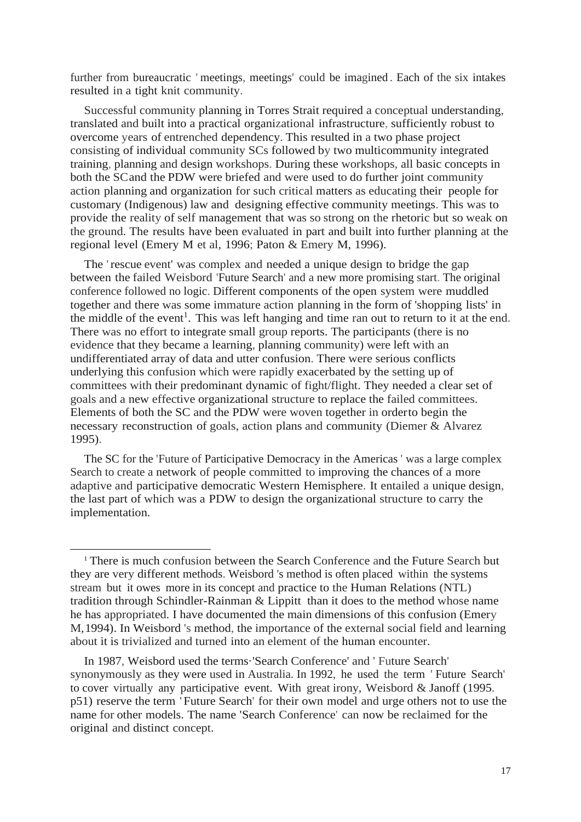further from bureaucratic ' meetings, meetings' could be imagined . Each of the six intakes resulted in a tight knit community.

Successful community planning in Torres Strait required a conceptual understanding, translated and built into a practical organizational infrastructure, sufficiently robust to overcome years of entrenched dependency. This resulted in a two phase project consisting of individual community SCs followed by two multicommunity integrated training, planning and design workshops. During these workshops, all basic concepts in both the SCand the PDW were briefed and were used to do further joint community action planning and organization for such critical matters as educating their people for customary (Indigenous) law and designing effective community meetings. This was to provide the reality of self management that was so strong on the rhetoric but so weak on the ground. The results have been evaluated in part and built into further planning at the regional level (Emery M et al, 1996; Paton & Emery M, 1996).

The 'rescue event' was complex and needed a unique design to bridge the gap between the failed Weisbord 'Future Search' and a new more promising start. The original conference followed no logic. Different components of the open system were muddled together and there was some immature action planning in the form of 'shopping lists' in the middle of the event<sup>1</sup>. This was left hanging and time ran out to return to it at the end. There was no effort to integrate small group reports. The participants (there is no evidence that they became a learning, planning community) were left with an undifferentiated array of data and utter confusion. There were serious conflicts underlying this confusion which were rapidly exacerbated by the setting up of committees with their predominant dynamic of fight/flight. They needed a clear set of goals and a new effective organizational structure to replace the failed committees. Elements of both the SC and the PDW were woven together in orderto begin the necessary reconstruction of goals, action plans and community (Diemer & Alvarez 1995).

The SC for the 'Future of Participative Democracy in the Americas ' was a large complex Search to create a network of people committed to improving the chances of a more adaptive and participative democratic Western Hemisphere. It entailed a unique design, the last part of which was a PDW to design the organizational structure to carry the implementation.

<sup>&</sup>lt;sup>1</sup> There is much confusion between the Search Conference and the Future Search but they are very different methods. Weisbord 's method is often placed within the systems stream but it owes more in its concept and practice to the Human Relations (NTL) tradition through Schindler-Rainman & Lippitt than it does to the method whose name he has appropriated. I have documented the main dimensions of this confusion (Emery M,1994). In Weisbord 's method, the importance of the external social field and learning about it is trivialized and turned into an element of the human encounter.

In 1987, Weisbord used the terms·'Search Conference' and ' Future Search' synonymously as they were used in Australia. In 1992, he used the term ' Future Search' to cover virtually any participative event. With great irony, Weisbord & Janoff (1995. p51) reserve the term ' Future Search' for their own model and urge others not to use the name for other models. The name 'Search Conference' can now be reclaimed for the original and distinct concept.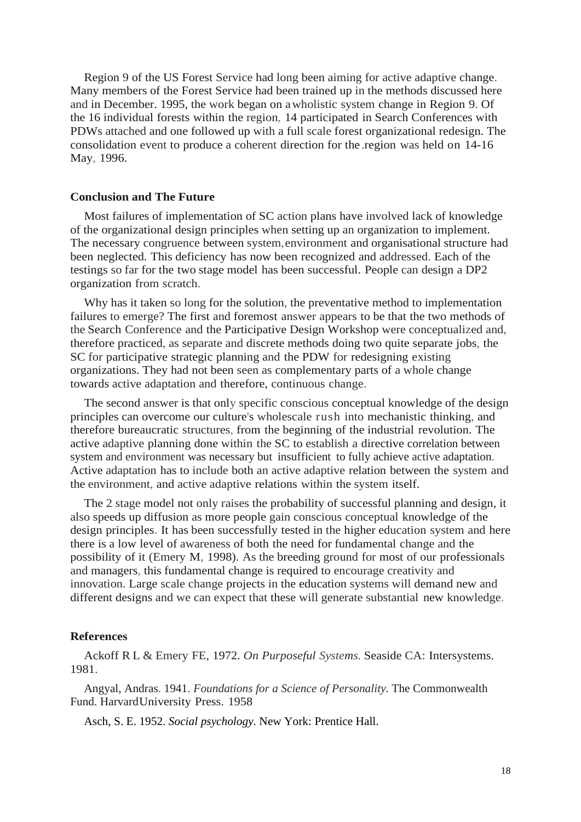Region 9 of the US Forest Service had long been aiming for active adaptive change. Many members of the Forest Service had been trained up in the methods discussed here and in December. 1995, the work began on awholistic system change in Region 9. Of the 16 individual forests within the region, 14 participated in Search Conferences with PDWs attached and one followed up with a full scale forest organizational redesign. The consolidation event to produce a coherent direction for the .region was held on 14-16 May, 1996.

## **Conclusion and The Future**

Most failures of implementation of SC action plans have involved lack of knowledge of the organizational design principles when setting up an organization to implement. The necessary congruence between system,environment and organisational structure had been neglected. This deficiency has now been recognized and addressed. Each of the testings so far for the two stage model has been successful. People can design a DP2 organization from scratch.

Why has it taken so long for the solution, the preventative method to implementation failures to emerge? The first and foremost answer appears to be that the two methods of the Search Conference and the Participative Design Workshop were conceptualized and, therefore practiced, as separate and discrete methods doing two quite separate jobs, the SC for participative strategic planning and the PDW for redesigning existing organizations. They had not been seen as complementary parts of a whole change towards active adaptation and therefore, continuous change.

The second answer is that only specific conscious conceptual knowledge of the design principles can overcome our culture's wholescale rush into mechanistic thinking, and therefore bureaucratic structures, from the beginning of the industrial revolution. The active adaptive planning done within the SC to establish a directive correlation between system and environment was necessary but insufficient to fully achieve active adaptation. Active adaptation has to include both an active adaptive relation between the system and the environment, and active adaptive relations within the system itself.

The 2 stage model not only raises the probability of successful planning and design, it also speeds up diffusion as more people gain conscious conceptual knowledge of the design principles. It has been successfully tested in the higher education system and here there is a low level of awareness of both the need for fundamental change and the possibility of it (Emery M, 1998). As the breeding ground for most of our professionals and managers, this fundamental change is required to encourage creativity and innovation. Large scale change projects in the education systems will demand new and different designs and we can expect that these will generate substantial new knowledge.

## **References**

Ackoff R L & Emery FE, 1972. *On Purposeful Systems.* Seaside CA: Intersystems. 1981.

Angyal, Andras. 1941. *Foundations for a Science of Personality.* The Commonwealth Fund. HarvardUniversity Press. 1958

Asch, S. E. 1952. *Social psychology*. New York: Prentice Hall.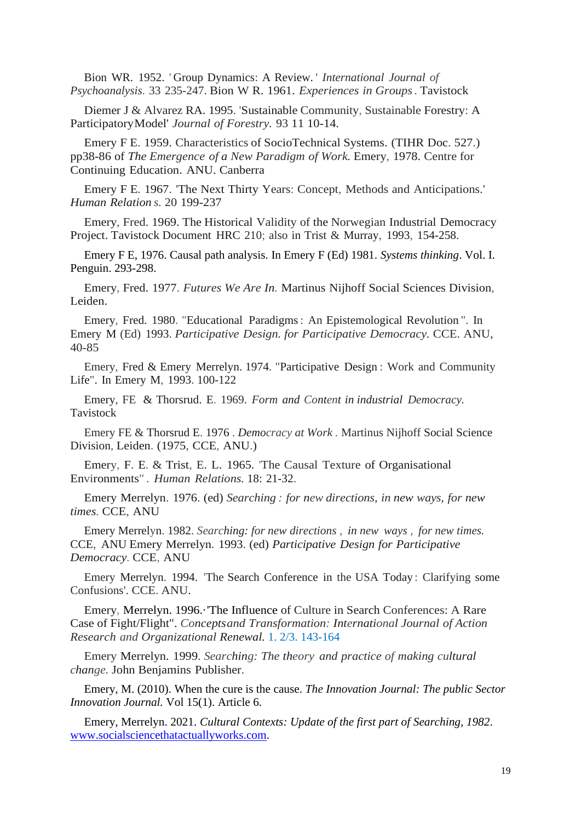Bion WR. 1952. ' Group Dynamics: A Review. ' *International Journal of Psychoanalysis.* 33 235-247. Bion W R. 1961. *Experiences in Groups.* Tavistock

Diemer J & Alvarez RA. 1995. 'Sustainable Community, Sustainable Forestry: A ParticipatoryModel' *Journal of Forestry.* 93 11 10-14.

Emery F E. 1959. Characteristics of SocioTechnical Systems. (TIHR Doc. 527.) pp38-86 of *The Emergence of a New Paradigm of Work.* Emery, 1978. Centre for Continuing Education. ANU. Canberra

Emery F E. 1967. 'The Next Thirty Years: Concept, Methods and Anticipations.' *Human Relation s.* 20 199-237

Emery, Fred. 1969. The Historical Validity of the Norwegian Industrial Democracy Project. Tavistock Document HRC 210; also in Trist & Murray, 1993, 154-258.

Emery F E, 1976. Causal path analysis. In Emery F (Ed) 1981. *Systems thinking*. Vol. I. Penguin. 293-298.

Emery, Fred. 1977. *Futures We Are In.* Martinus Nijhoff Social Sciences Division, Leiden.

Emery, Fred. 1980. "Educational Paradigms: An Epistemological Revolution ". In Emery M (Ed) 1993. *Participative Design. for Participative Democracy.* CCE. ANU, 40-85

Emery, Fred & Emery Merrelyn. 1974. "Participative Design : Work and Community Life". In Emery M, 1993. 100-122

Emery, FE & Thorsrud. E. 1969. *Form and Content in industrial Democracy.* Tavistock

Emery FE & Thorsrud E. 1976 . *Democracy at Work .* Martinus Nijhoff Social Science Division, Leiden. (1975, CCE, ANU.)

Emery, F. E. & Trist, E. L. 1965. 'The Causal Texture of Organisational Environments" . *Human Relations.* 18: 21-32.

Emery Merrelyn. 1976. (ed) *Searching : for new directions, in new ways, for new times.* CCE, ANU

Emery Merrelyn. 1982. *Searching: for new directions , in new ways , for new times.*  CCE, ANU Emery Merrelyn. 1993. (ed) *Participative Design for Participative Democracy.* CCE, ANU

Emery Merrelyn. 1994. 'The Search Conference in the USA Today : Clarifying some Confusions'. CCE. ANU.

Emery, Merrelyn. 1996.·'The Influence of Culture in Search Conferences: A Rare Case of Fight/Flight". *Conceptsand Transformation: International Journal of Action Research and Organizational Renewal.* 1. 2/3. 143-164

Emery Merrelyn. 1999. *Searching: The theory and practice of making cultural change.* John Benjamins Publisher.

Emery, M. (2010). When the cure is the cause. *The Innovation Journal: The public Sector Innovation Journal.* Vol 15(1). Article 6.

Emery, Merrelyn. 2021. *Cultural Contexts: Update of the first part of Searching, 1982*. [www.socialsciencethatactuallyworks.com.](http://www.socialsciencethatactuallyworks.com/)